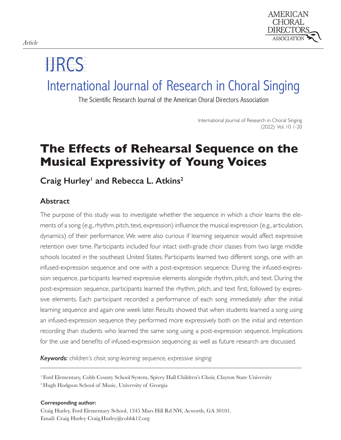

# IJRCS

# International Journal of Research in Choral Singing

The Scientific Research Journal of the American Choral Directors Association

International Journal of Research in Choral Singing (2022) Vol. 10 1-20

# **The Effects of Rehearsal Sequence on the Musical Expressivity of Young Voices**

# Craig Hurley<sup>1</sup> and Rebecca L. Atkins<sup>2</sup>

### **Abstract**

The purpose of this study was to investigate whether the sequence in which a choir learns the elements of a song (e.g., rhythm, pitch, text, expression) influence the musical expression (e.g., articulation, dynamics) of their performance. We were also curious if learning sequence would affect expressive retention over time. Participants included four intact sixth-grade choir classes from two large middle schools located in the southeast United States. Participants learned two different songs, one with an infused-expression sequence and one with a post-expression sequence. During the infused-expression sequence, participants learned expressive elements alongside rhythm, pitch, and text. During the post-expression sequence, participants learned the rhythm, pitch, and text first, followed by expressive elements. Each participant recorded a performance of each song immediately after the initial learning sequence and again one week later. Results showed that when students learned a song using an infused-expression sequence they performed more expressively both on the initial and retention recording than students who learned the same song using a post-expression sequence. Implications for the use and benefits of infused-expression sequencing as well as future research are discussed.

*Keywords: children's choir, song-learning sequence, expressive singing*

**Corresponding author:**

Craig Hurley, Ford Elementary School, 1345 Mars Hill Rd NW, Acworth, GA 30101. Email: Craig Hurley Craig.Hurley@cobbk12.org

<sup>1</sup> Ford Elementary, Cobb County School System, Spivey Hall Children's Choir, Clayton State University

<sup>2</sup> Hugh Hodgson School of Music, University of Georgia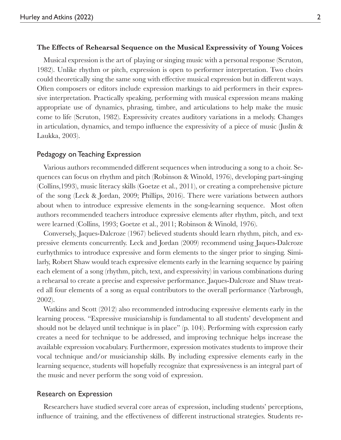#### **The Eff ects of Rehearsal Sequence on the Musical Expressivity of Young Voices**

Musical expression is the art of playing or singing music with a personal response (Scruton, 1982). Unlike rhythm or pitch, expression is open to performer interpretation. Two choirs could theoretically sing the same song with effective musical expression but in different ways. Often composers or editors include expression markings to aid performers in their expressive interpretation. Practically speaking, performing with musical expression means making appropriate use of dynamics, phrasing, timbre, and articulations to help make the music come to life (Scruton, 1982). Expressivity creates auditory variations in a melody. Changes in articulation, dynamics, and tempo influence the expressivity of a piece of music (Juslin  $\&$ Laukka, 2003).

#### Pedagogy on Teaching Expression

Various authors recommended different sequences when introducing a song to a choir. Sequences can focus on rhythm and pitch (Robinson & Winold, 1976), developing part-singing (Collins,1993), music literacy skills (Goetze et al., 2011), or creating a comprehensive picture of the song (Leck & Jordan, 2009; Phillips, 2016). There were variations between authors about when to introduce expressive elements in the song-learning sequence. Most often authors recommended teachers introduce expressive elements after rhythm, pitch, and text were learned (Collins, 1993; Goetze et al., 2011; Robinson & Winold, 1976).

Conversely, Jaques-Dalcroze (1967) believed students should learn rhythm, pitch, and expressive elements concurrently. Leck and Jordan (2009) recommend using Jaques-Dalcroze eurhythmics to introduce expressive and form elements to the singer prior to singing. Similarly, Robert Shaw would teach expressive elements early in the learning sequence by pairing each element of a song (rhythm, pitch, text, and expressivity) in various combinations during a rehearsal to create a precise and expressive performance. Jaques-Dalcroze and Shaw treated all four elements of a song as equal contributors to the overall performance (Yarbrough, 2002).

Watkins and Scott (2012) also recommended introducing expressive elements early in the learning process. "Expressive musicianship is fundamental to all students' development and should not be delayed until technique is in place" (p. 104). Performing with expression early creates a need for technique to be addressed, and improving technique helps increase the available expression vocabulary. Furthermore, expression motivates students to improve their vocal technique and/or musicianship skills. By including expressive elements early in the learning sequence, students will hopefully recognize that expressiveness is an integral part of the music and never perform the song void of expression.

#### Research on Expression

Researchers have studied several core areas of expression, including students' perceptions, influence of training, and the effectiveness of different instructional strategies. Students re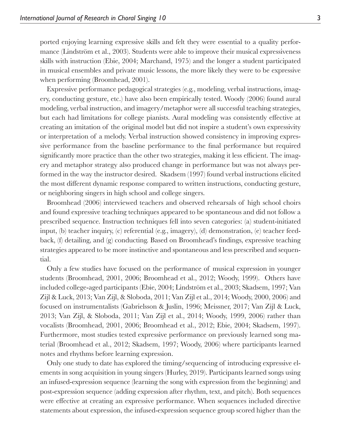ported enjoying learning expressive skills and felt they were essential to a quality performance (Lindström et al., 2003). Students were able to improve their musical expressiveness skills with instruction (Ebie, 2004; Marchand, 1975) and the longer a student participated in musical ensembles and private music lessons, the more likely they were to be expressive when performing (Broomhead, 2001).

Expressive performance pedagogical strategies (e.g., modeling, verbal instructions, imagery, conducting gesture, etc.) have also been empirically tested. Woody (2006) found aural modeling, verbal instruction, and imagery/metaphor were all successful teaching strategies, but each had limitations for college pianists. Aural modeling was consistently effective at creating an imitation of the original model but did not inspire a student's own expressivity or interpretation of a melody. Verbal instruction showed consistency in improving expressive performance from the baseline performance to the final performance but required significantly more practice than the other two strategies, making it less efficient. The imagery and metaphor strategy also produced change in performance but was not always performed in the way the instructor desired. Skadsem (1997) found verbal instructions elicited the most different dynamic response compared to written instructions, conducting gesture, or neighboring singers in high school and college singers.

Broomhead (2006) interviewed teachers and observed rehearsals of high school choirs and found expressive teaching techniques appeared to be spontaneous and did not follow a prescribed sequence. Instruction techniques fell into seven categories: (a) student-initiated input, (b) teacher inquiry, (c) referential (e.g., imagery), (d) demonstration, (e) teacher feedback,  $(f)$  detailing, and  $(g)$  conducting. Based on Broomhead's findings, expressive teaching strategies appeared to be more instinctive and spontaneous and less prescribed and sequential.

Only a few studies have focused on the performance of musical expression in younger students (Broomhead, 2001, 2006; Broomhead et al., 2012; Woody, 1999). Others have included college-aged participants (Ebie, 2004; Lindström et al., 2003; Skadsem, 1997; Van Zijl & Luck, 2013; Van Zijl, & Sloboda, 2011; Van Zijl et al., 2014; Woody, 2000, 2006) and focused on instrumentalists (Gabrielsson & Juslin, 1996; Meissner, 2017; Van Zijl & Luck, 2013; Van Zijl, & Sloboda, 2011; Van Zijl et al., 2014; Woody, 1999, 2006) rather than vocalists (Broomhead, 2001, 2006; Broomhead et al., 2012; Ebie, 2004; Skadsem, 1997). Furthermore, most studies tested expressive performance on previously learned song material (Broomhead et al., 2012; Skadsem, 1997; Woody, 2006) where participants learned notes and rhythms before learning expression.

Only one study to date has explored the timing/sequencing of introducing expressive elements in song acquisition in young singers (Hurley, 2019). Participants learned songs using an infused-expression sequence (learning the song with expression from the beginning) and post-expression sequence (adding expression after rhythm, text, and pitch). Both sequences were effective at creating an expressive performance. When sequences included directive statements about expression, the infused-expression sequence group scored higher than the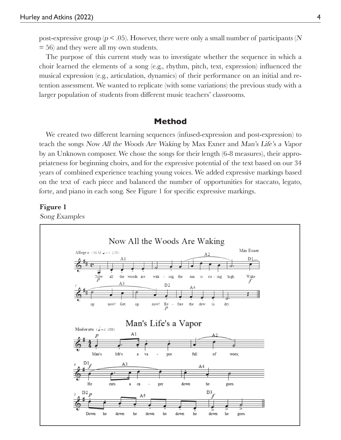post-expressive group ( $p < .05$ ). However, there were only a small number of participants (N = 56) and they were all my own students.

The purpose of this current study was to investigate whether the sequence in which a choir learned the elements of a song  $(e.g., r)$ hythm, pitch, text, expression) influenced the musical expression (e.g., articulation, dynamics) of their performance on an initial and retention assessment. We wanted to replicate (with some variations) the previous study with a larger population of students from different music teachers' classrooms.

### **Method**

We created two different learning sequences (infused-expression and post-expression) to teach the songs Now All the Woods Are Waking by Max Exner and Man's Life's a Vapor by an Unknown composer. We chose the songs for their length (6-8 measures), their appropriateness for beginning choirs, and for the expressive potential of the text based on our 34 years of combined experience teaching young voices. We added expressive markings based on the text of each piece and balanced the number of opportunities for staccato, legato, forte, and piano in each song. See Figure 1 for specific expressive markings.

#### **Figure 1**

Song Examples

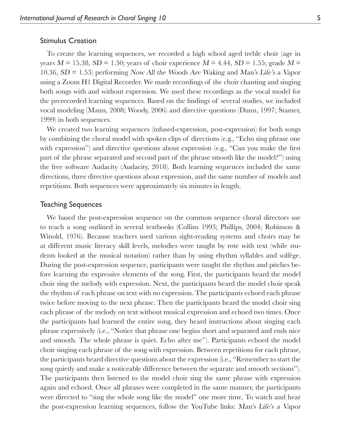#### Stimulus Creation

To create the learning sequences, we recorded a high school aged treble choir (age in years  $M = 15.38$ ,  $SD = 1.50$ ; years of choir experience  $M = 4.44$ ,  $SD = 1.55$ ; grade  $M =$ 10.36, SD = 1.53) performing Now All the Woods Are Waking and Man's Life's a Vapor using a Zoom H1 Digital Recorder. We made recordings of the choir chanting and singing both songs with and without expression. We used these recordings as the vocal model for the prerecorded learning sequences. Based on the findings of several studies, we included vocal modeling (Mann, 2008; Woody, 2006) and directive questions (Dunn, 1997; Stamer, 1999) in both sequences.

We created two learning sequences (infused-expression, post-expression) for both songs by combining the choral model with spoken clips of directions (e.g., "Echo sing phrase one with expression") and directive questions about expression (e.g., "Can you make the first part of the phrase separated and second part of the phrase smooth like the model?") using the free software Audacity (Audacity, 2018). Both learning sequences included the same directions, three directive questions about expression, and the same number of models and repetitions. Both sequences were approximately six minutes in length.

#### Teaching Sequences

We based the post-expression sequence on the common sequence choral directors use to teach a song outlined in several textbooks (Collins 1993; Phillips, 2004; Robinson & Winold, 1976). Because teachers used various sight-reading systems and choirs may be at different music literacy skill levels, melodies were taught by rote with text (while students looked at the musical notation) rather than by using rhythm syllables and solfège. During the post-expression sequence, participants were taught the rhythm and pitches before learning the expressive elements of the song. First, the participants heard the model choir sing the melody with expression. Next, the participants heard the model choir speak the rhythm of each phrase on text with no expression. The participants echoed each phrase twice before moving to the next phrase. Then the participants heard the model choir sing each phrase of the melody on text without musical expression and echoed two times. Once the participants had learned the entire song, they heard instructions about singing each phrase expressively (i.e., "Notice that phrase one begins short and separated and ends nice and smooth. The whole phrase is quiet. Echo after me"). Participants echoed the model choir singing each phrase of the song with expression. Between repetitions for each phrase, the participants heard directive questions about the expression (i.e., "Remember to start the song quietly and make a noticeable difference between the separate and smooth sections"). The participants then listened to the model choir sing the same phrase with expression again and echoed. Once all phrases were completed in the same manner, the participants were directed to "sing the whole song like the model" one more time. To watch and hear the post-expression learning sequences, follow the YouTube links: Man's Life's a Vapor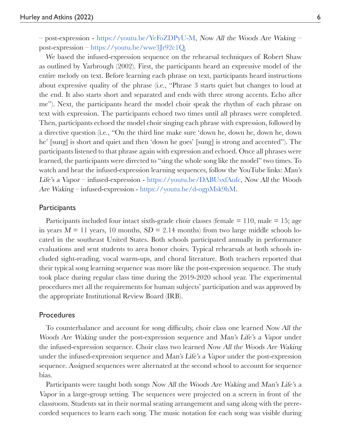– post-expression - https://youtu.be/YeFoZDPyU-M, Now All the Woods Are Waking – post-expression – https://youtu.be/wwe3Jr92c1Q.

We based the infused-expression sequence on the rehearsal techniques of Robert Shaw as outlined by Yarbrough (2002). First, the participants heard an expressive model of the entire melody on text. Before learning each phrase on text, participants heard instructions about expressive quality of the phrase (i.e., "Phrase 3 starts quiet but changes to loud at the end. It also starts short and separated and ends with three strong accents. Echo after me"). Next, the participants heard the model choir speak the rhythm of each phrase on text with expression. The participants echoed two times until all phrases were completed. Then, participants echoed the model choir singing each phrase with expression, followed by a directive question (i.e., "On the third line make sure 'down he, down he, down he, down he' [sung] is short and quiet and then 'down he goes' [sung] is strong and accented"). The participants listened to that phrase again with expression and echoed. Once all phrases were learned, the participants were directed to "sing the whole song like the model" two times. To watch and hear the infused-expression learning sequences, follow the YouTube links: Man's Life's a Vapor – infused-expression - https://youtu.be/DABUsxfAufc, Now All the Woods Are Waking – infused-expression - https://youtu.be/d-ogpMsk9hM.

#### **Participants**

Participants included four intact sixth-grade choir classes (female  $= 110$ , male  $= 15$ ; age in years  $M = 11$  years, 10 months,  $SD = 2.14$  months) from two large middle schools located in the southeast United States. Both schools participated annually in performance evaluations and sent students to area honor choirs. Typical rehearsals at both schools included sight-reading, vocal warm-ups, and choral literature. Both teachers reported that their typical song learning sequence was more like the post-expression sequence. The study took place during regular class time during the 2019-2020 school year. The experimental procedures met all the requirements for human subjects' participation and was approved by the appropriate Institutional Review Board (IRB).

#### **Procedures**

To counterbalance and account for song difficulty, choir class one learned Now All the Woods Are Waking under the post-expression sequence and Man's Life's a Vapor under the infused-expression sequence. Choir class two learned Now All the Woods Are Waking under the infused-expression sequence and Man's Life's a Vapor under the post-expression sequence. Assigned sequences were alternated at the second school to account for sequence bias.

Participants were taught both songs Now All the Woods Are Waking and Man's Life's a Vapor in a large-group setting. The sequences were projected on a screen in front of the classroom. Students sat in their normal seating arrangement and sang along with the prerecorded sequences to learn each song. The music notation for each song was visible during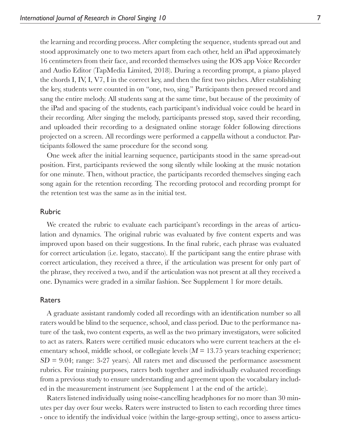the learning and recording process. After completing the sequence, students spread out and stood approximately one to two meters apart from each other, held an iPad approximately 16 centimeters from their face, and recorded themselves using the IOS app Voice Recorder and Audio Editor (TapMedia Limited, 2018). During a recording prompt, a piano played the chords I, IV, I, V7, I in the correct key, and then the first two pitches. After establishing the key, students were counted in on "one, two, sing." Participants then pressed record and sang the entire melody. All students sang at the same time, but because of the proximity of the iPad and spacing of the students, each participant's individual voice could be heard in their recording. After singing the melody, participants pressed stop, saved their recording, and uploaded their recording to a designated online storage folder following directions projected on a screen. All recordings were performed a cappella without a conductor. Participants followed the same procedure for the second song.

One week after the initial learning sequence, participants stood in the same spread-out position. First, participants reviewed the song silently while looking at the music notation for one minute. Then, without practice, the participants recorded themselves singing each song again for the retention recording. The recording protocol and recording prompt for the retention test was the same as in the initial test.

#### Rubric

We created the rubric to evaluate each participant's recordings in the areas of articulation and dynamics. The original rubric was evaluated by five content experts and was improved upon based on their suggestions. In the final rubric, each phrase was evaluated for correct articulation (i.e. legato, staccato). If the participant sang the entire phrase with correct articulation, they received a three, if the articulation was present for only part of the phrase, they received a two, and if the articulation was not present at all they received a one. Dynamics were graded in a similar fashion. See Supplement 1 for more details.

#### Raters

A graduate assistant randomly coded all recordings with an identification number so all raters would be blind to the sequence, school, and class period. Due to the performance nature of the task, two content experts, as well as the two primary investigators, were solicited to act as raters. Raters were certified music educators who were current teachers at the elementary school, middle school, or collegiate levels  $(M = 13.75$  years teaching experience;  $SD = 9.04$ ; range: 3-27 years). All raters met and discussed the performance assessment rubrics. For training purposes, raters both together and individually evaluated recordings from a previous study to ensure understanding and agreement upon the vocabulary included in the measurement instrument (see Supplement 1 at the end of the article).

Raters listened individually using noise-cancelling headphones for no more than 30 minutes per day over four weeks. Raters were instructed to listen to each recording three times - once to identify the individual voice (within the large-group setting), once to assess articu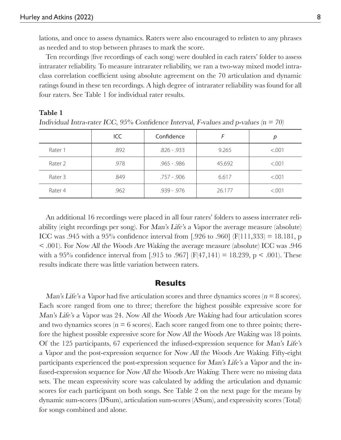lations, and once to assess dynamics. Raters were also encouraged to relisten to any phrases as needed and to stop between phrases to mark the score.

Ten recordings (five recordings of each song) were doubled in each raters' folder to assess intrarater reliability. To measure intrarater reliability, we ran a two-way mixed model intraclass correlation coefficient using absolute agreement on the 70 articulation and dynamic ratings found in these ten recordings. A high degree of intrarater reliability was found for all four raters. See Table 1 for individual rater results.

#### **Table 1**

|         | ICC  | Confidence    |        |        |
|---------|------|---------------|--------|--------|
| Rater 1 | .892 | $.826 - .933$ | 9.265  | < .001 |
| Rater 2 | .978 | $.965 - .986$ | 45.692 | < .001 |
| Rater 3 | .849 | $.757 - .906$ | 6.617  | < .001 |
| Rater 4 | .962 | $.939 - .976$ | 26.177 | < .001 |

Individual Intra-rater ICC, 95% Confidence Interval, F-values and p-values ( $n = 70$ )

An additional 16 recordings were placed in all four raters' folders to assess interrater reliability (eight recordings per song). For Man's Life's a Vapor the average measure (absolute) ICC was .945 with a 95% confidence interval from [.926 to .960] ( $F(111,333) = 18.181$ , p < .001). For Now All the Woods Are Waking the average measure (absolute) ICC was .946 with a 95% confidence interval from [.915 to .967] ( $F(47,141) = 18.239$ , p < .001). These results indicate there was little variation between raters.

#### **Results**

Man's Life's a Vapor had five articulation scores and three dynamics scores ( $n = 8$  scores). Each score ranged from one to three; therefore the highest possible expressive score for Man's Life's a Vapor was 24. Now All the Woods Are Waking had four articulation scores and two dynamics scores ( $n = 6$  scores). Each score ranged from one to three points; therefore the highest possible expressive score for Now All the Woods Are Waking was 18 points. Of the 125 participants, 67 experienced the infused-expression sequence for Man's Life's a Vapor and the post-expression sequence for Now All the Woods Are Waking. Fifty-eight participants experienced the post-expression sequence for Man's Life's a Vapor and the infused-expression sequence for Now All the Woods Are Waking. There were no missing data sets. The mean expressivity score was calculated by adding the articulation and dynamic scores for each participant on both songs. See Table 2 on the next page for the means by dynamic sum-scores (DSum), articulation sum-scores (ASum), and expressivity scores (Total) for songs combined and alone.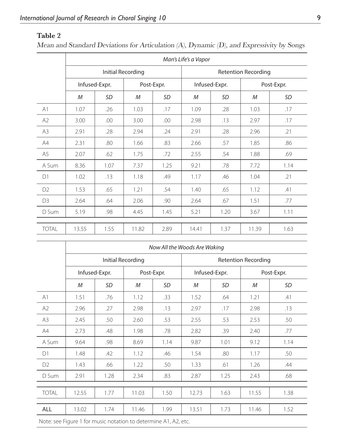### **Table 2**

Mean and Standard Deviations for Articulation (A), Dynamic (D), and Expressivity by Songs

|                | Man's Life's a Vapor     |      |            |      |                            |           |            |      |
|----------------|--------------------------|------|------------|------|----------------------------|-----------|------------|------|
|                | <b>Initial Recording</b> |      |            |      | <b>Retention Recording</b> |           |            |      |
|                | Infused-Expr.            |      | Post-Expr. |      | Infused-Expr.              |           | Post-Expr. |      |
|                | M                        | SD   | М          | SD   | M                          | <b>SD</b> | M          | SD   |
| A1             | 1.07                     | .26  | 1.03       | .17  | 1.09                       | .28       | 1.03       | .17  |
| A2             | 3.00                     | .00  | 3.00       | .00  | 2.98                       | .13       | 2.97       | .17  |
| A3             | 2.91                     | .28  | 2.94       | .24  | 2.91                       | .28       | 2.96       | .21  |
| A4             | 2.31                     | .80  | 1.66       | .83  | 2.66                       | .57       | 1.85       | .86  |
| A <sub>5</sub> | 2.07                     | .62  | 1.75       | .72  | 2.55                       | .54       | 1.88       | .69  |
| A Sum          | 8.36                     | 1.07 | 7.37       | 1.25 | 9.21                       | .78       | 7.72       | 1.14 |
| D1             | 1.02                     | .13  | 1.18       | .49  | 1.17                       | .46       | 1.04       | .21  |
| D <sub>2</sub> | 1.53                     | .65  | 1.21       | .54  | 1.40                       | .65       | 1.12       | .41  |
| D <sub>3</sub> | 2.64                     | .64  | 2.06       | .90  | 2.64                       | .67       | 1.51       | .77  |
| D Sum          | 5.19                     | .98  | 4.45       | 1.45 | 5.21                       | 1.20      | 3.67       | 1.11 |
|                |                          |      |            |      |                            |           |            |      |
| <b>TOTAL</b>   | 13.55                    | 1.55 | 11.82      | 2.89 | 14.41                      | 1.37      | 11.39      | 1.63 |

|                | Now All the Woods Are Waking |      |            |      |                            |      |            |      |
|----------------|------------------------------|------|------------|------|----------------------------|------|------------|------|
|                | Initial Recording            |      |            |      | <b>Retention Recording</b> |      |            |      |
|                | Infused-Expr.                |      | Post-Expr. |      | Infused-Expr.              |      | Post-Expr. |      |
|                | M                            | SD   | M          | SD   | M                          | SD   | M          | SD   |
| A1             | 1.51                         | .76  | 1.12       | .33  | 1.52                       | .64  | 1.21       | .41  |
| A2             | 2.96                         | .27  | 2.98       | .13  | 2.97                       | .17  | 2.98       | .13  |
| A3             | 2.45                         | .50  | 2.60       | .53  | 2.55                       | .53  | 2.53       | .50  |
| A4             | 2.73                         | .48  | 1.98       | .78  | 2.82                       | .39  | 2.40       | .77  |
| A Sum          | 9.64                         | .98  | 8.69       | 1.14 | 9.87                       | 1.01 | 9.12       | 1.14 |
| D1             | 1.48                         | .42  | 1.12       | .46  | 1.54                       | .80  | 1.17       | .50  |
| D <sub>2</sub> | 1.43                         | .66  | 1.22       | .50  | 1.33                       | .61  | 1.26       | .44  |
| D Sum          | 2.91                         | 1.28 | 2.34       | .83  | 2.87                       | 1.25 | 2.43       | .68  |
|                |                              |      |            |      |                            |      |            |      |
| <b>TOTAL</b>   | 12.55                        | 1.77 | 11.03      | 1.50 | 12.73                      | 1.63 | 11.55      | 1.38 |
|                |                              |      |            |      |                            |      |            |      |
| ALL            | 13.02                        | 1.74 | 11.46      | 1.99 | 13.51                      | 1.73 | 11.46      | 1.52 |
|                |                              |      |            |      |                            |      |            |      |

Note: see Figure 1 for music notation to determine A1, A2, etc.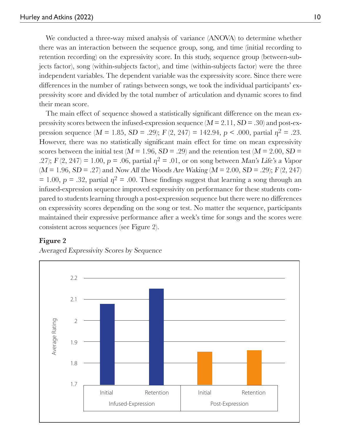We conducted a three-way mixed analysis of variance (ANOVA) to determine whether there was an interaction between the sequence group, song, and time (initial recording to retention recording) on the expressivity score. In this study, sequence group (between-subjects factor), song (within-subjects factor), and time (within-subjects factor) were the three independent variables. The dependent variable was the expressivity score. Since there were differences in the number of ratings between songs, we took the individual participants' expressivity score and divided by the total number of articulation and dynamic scores to find their mean score.

The main effect of sequence showed a statistically significant difference on the mean expressivity scores between the infused-expression sequence  $(M = 2.11, SD = .30)$  and post-expression sequence  $(M = 1.85, SD = .29)$ ;  $F(2, 247) = 142.94, p < .000$ , partial  $p^2 = .23$ . However, there was no statistically significant main effect for time on mean expressivity scores between the initial test ( $M = 1.96$ ,  $SD = .29$ ) and the retention test ( $M = 2.00$ ,  $SD =$ .27);  $F(2, 247) = 1.00$ ,  $p = .06$ , partial  $\eta^2 = .01$ , or on song between Man's Life's a Vapor  $(M = 1.96, SD = .27)$  and Now All the Woods Are Waking  $(M = 2.00, SD = .29)$ ;  $F(2, 247)$ = 1.00, p = .32, partial  $\eta^2$  = .00. These findings suggest that learning a song through an infused-expression sequence improved expressivity on performance for these students compared to students learning through a post-expression sequence but there were no differences on expressivity scores depending on the song or test. No matter the sequence, participants maintained their expressive performance after a week's time for songs and the scores were consistent across sequences (see Figure 2).

#### **Figure 2**



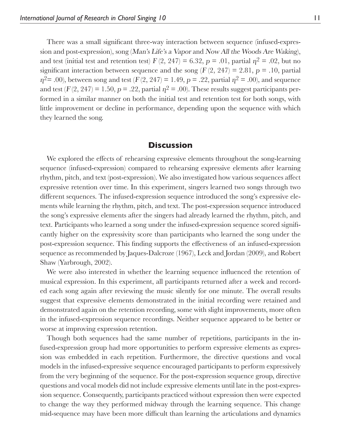There was a small significant three-way interaction between sequence (infused-expression and post-expression), song (Man's Life's a Vapor and Now All the Woods Are Waking), and test (initial test and retention test)  $F(2, 247) = 6.32$ ,  $p = .01$ , partial  $\eta^2 = .02$ , but no significant interaction between sequence and the song  $(F(2, 247) = 2.81, p = .10,$  partial  $n^2$  = .00), between song and test (F(2, 247) = 1.49, p = .22, partial  $n^2$  = .00), and sequence and test  $(F(2, 247) = 1.50, p = .22,$  partial  $p^2 = .00$ ). These results suggest participants performed in a similar manner on both the initial test and retention test for both songs, with little improvement or decline in performance, depending upon the sequence with which they learned the song.

#### **Discussion**

We explored the effects of rehearsing expressive elements throughout the song-learning sequence (infused-expression) compared to rehearsing expressive elements after learning rhythm, pitch, and text (post-expression). We also investigated how various sequences affect expressive retention over time. In this experiment, singers learned two songs through two different sequences. The infused-expression sequence introduced the song's expressive elements while learning the rhythm, pitch, and text. The post-expression sequence introduced the song's expressive elements after the singers had already learned the rhythm, pitch, and text. Participants who learned a song under the infused-expression sequence scored significantly higher on the expressivity score than participants who learned the song under the post-expression sequence. This finding supports the effectiveness of an infused-expression sequence as recommended by Jaques-Dalcroze (1967), Leck and Jordan (2009), and Robert Shaw (Yarbrough, 2002).

We were also interested in whether the learning sequence influenced the retention of musical expression. In this experiment, all participants returned after a week and recorded each song again after reviewing the music silently for one minute. The overall results suggest that expressive elements demonstrated in the initial recording were retained and demonstrated again on the retention recording, some with slight improvements, more often in the infused-expression sequence recordings. Neither sequence appeared to be better or worse at improving expression retention.

Though both sequences had the same number of repetitions, participants in the infused-expression group had more opportunities to perform expressive elements as expression was embedded in each repetition. Furthermore, the directive questions and vocal models in the infused-expressive sequence encouraged participants to perform expressively from the very beginning of the sequence. For the post-expression sequence group, directive questions and vocal models did not include expressive elements until late in the post-expression sequence. Consequently, participants practiced without expression then were expected to change the way they performed midway through the learning sequence. This change mid-sequence may have been more difficult than learning the articulations and dynamics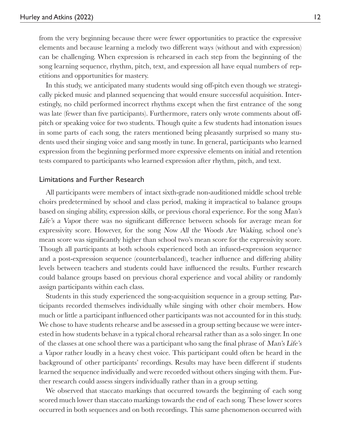from the very beginning because there were fewer opportunities to practice the expressive elements and because learning a melody two different ways (without and with expression) can be challenging. When expression is rehearsed in each step from the beginning of the song learning sequence, rhythm, pitch, text, and expression all have equal numbers of repetitions and opportunities for mastery.

In this study, we anticipated many students would sing off-pitch even though we strategically picked music and planned sequencing that would ensure successful acquisition. Interestingly, no child performed incorrect rhythms except when the first entrance of the song was late (fewer than five participants). Furthermore, raters only wrote comments about offpitch or speaking voice for two students. Though quite a few students had intonation issues in some parts of each song, the raters mentioned being pleasantly surprised so many students used their singing voice and sang mostly in tune. In general, participants who learned expression from the beginning performed more expressive elements on initial and retention tests compared to participants who learned expression after rhythm, pitch, and text.

#### Limitations and Further Research

All participants were members of intact sixth-grade non-auditioned middle school treble choirs predetermined by school and class period, making it impractical to balance groups based on singing ability, expression skills, or previous choral experience. For the song Man's Life's a Vapor there was no significant difference between schools for average mean for expressivity score. However, for the song Now All the Woods Are Waking, school one's mean score was significantly higher than school two's mean score for the expressivity score. Though all participants at both schools experienced both an infused-expression sequence and a post-expression sequence (counterbalanced), teacher influence and differing ability levels between teachers and students could have influenced the results. Further research could balance groups based on previous choral experience and vocal ability or randomly assign participants within each class.

Students in this study experienced the song-acquisition sequence in a group setting. Participants recorded themselves individually while singing with other choir members. How much or little a participant influenced other participants was not accounted for in this study. We chose to have students rehearse and be assessed in a group setting because we were interested in how students behave in a typical choral rehearsal rather than as a solo singer. In one of the classes at one school there was a participant who sang the final phrase of Man's Life's a Vapor rather loudly in a heavy chest voice. This participant could often be heard in the background of other participants' recordings. Results may have been different if students learned the sequence individually and were recorded without others singing with them. Further research could assess singers individually rather than in a group setting.

We observed that staccato markings that occurred towards the beginning of each song scored much lower than staccato markings towards the end of each song. These lower scores occurred in both sequences and on both recordings. This same phenomenon occurred with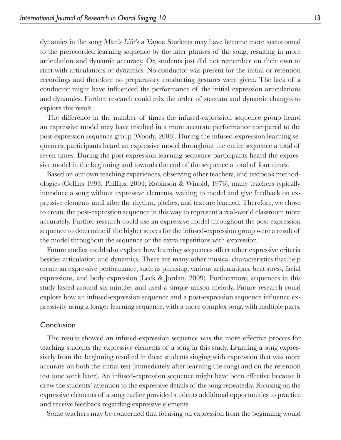dynamics in the song Man's Life's a Vapor. Students may have become more accustomed to the prerecorded learning sequence by the later phrases of the song, resulting in more articulation and dynamic accuracy. Or, students just did not remember on their own to start with articulations or dynamics. No conductor was present for the initial or retention recordings and therefore no preparatory conducting gestures were given. The lack of a conductor might have influenced the performance of the initial expression articulations and dynamics. Further research could mix the order of staccato and dynamic changes to explore this result.

The difference in the number of times the infused-expression sequence group heard an expressive model may have resulted in a more accurate performance compared to the post-expression sequence group (Woody, 2006). During the infused-expression learning sequences, participants heard an expressive model throughout the entire sequence a total of seven times. During the post-expression learning sequence participants heard the expressive model in the beginning and towards the end of the sequence a total of four times.

Based on our own teaching experiences, observing other teachers, and textbook methodologies (Collins 1993; Phillips, 2004; Robinson & Winold, 1976), many teachers typically introduce a song without expressive elements, waiting to model and give feedback on expressive elements until after the rhythm, pitches, and text are learned. Therefore, we chose to create the post-expression sequence in this way to represent a real-world classroom more accurately. Further research could use an expressive model throughout the post-expression sequence to determine if the higher scores for the infused-expression group were a result of the model throughout the sequence or the extra repetitions with expression.

Future studies could also explore how learning sequences affect other expressive criteria besides articulation and dynamics. There are many other musical characteristics that help create an expressive performance, such as phrasing, various articulations, beat stress, facial expressions, and body expression (Leck & Jordan, 2009). Furthermore, sequences in this study lasted around six minutes and used a simple unison melody. Future research could explore how an infused-expression sequence and a post-expression sequence influence expressivity using a longer learning sequence, with a more complex song, with multiple parts.

#### Conclusion

The results showed an infused-expression sequence was the more effective process for teaching students the expressive elements of a song in this study. Learning a song expressively from the beginning resulted in these students singing with expression that was more accurate on both the initial test (immediately after learning the song) and on the retention test (one week later). An infused-expression sequence might have been effective because it drew the students' attention to the expressive details of the song repeatedly. Focusing on the expressive elements of a song earlier provided students additional opportunities to practice and receive feedback regarding expressive elements.

Some teachers may be concerned that focusing on expression from the beginning would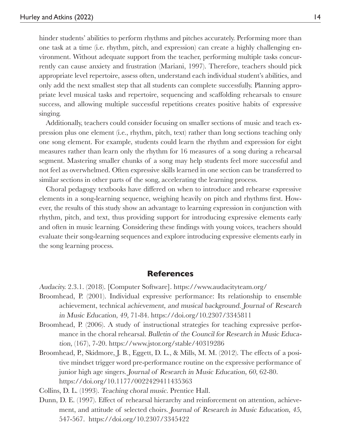hinder students' abilities to perform rhythms and pitches accurately. Performing more than one task at a time (i.e. rhythm, pitch, and expression) can create a highly challenging environment. Without adequate support from the teacher, performing multiple tasks concurrently can cause anxiety and frustration (Mariani, 1997). Therefore, teachers should pick appropriate level repertoire, assess often, understand each individual student's abilities, and only add the next smallest step that all students can complete successfully. Planning appropriate level musical tasks and repertoire, sequencing and scaffolding rehearsals to ensure success, and allowing multiple successful repetitions creates positive habits of expressive singing.

Additionally, teachers could consider focusing on smaller sections of music and teach expression plus one element (i.e., rhythm, pitch, text) rather than long sections teaching only one song element. For example, students could learn the rhythm and expression for eight measures rather than learn only the rhythm for 16 measures of a song during a rehearsal segment. Mastering smaller chunks of a song may help students feel more successful and not feel as overwhelmed. Often expressive skills learned in one section can be transferred to similar sections in other parts of the song, accelerating the learning process.

Choral pedagogy textbooks have differed on when to introduce and rehearse expressive elements in a song-learning sequence, weighing heavily on pitch and rhythms first. However, the results of this study show an advantage to learning expression in conjunction with rhythm, pitch, and text, thus providing support for introducing expressive elements early and often in music learning. Considering these findings with young voices, teachers should evaluate their song-learning sequences and explore introducing expressive elements early in the song learning process.

#### **References**

Audacity. 2.3.1. (2018). [Computer Software]. https://www.audacityteam.org/

- Broomhead, P. (2001). Individual expressive performance: Its relationship to ensemble achievement, technical achievement, and musical background. Journal of Research in Music Education, 49, 71-84. https://doi.org/10.2307/3345811
- Broomhead, P. (2006). A study of instructional strategies for teaching expressive performance in the choral rehearsal. Bulletin of the Council for Research in Music Education, (167), 7-20. https://www.jstor.org/stable/40319286
- Broomhead, P., Skidmore, J. B., Eggett, D. L., & Mills, M. M. (2012). The effects of a positive mindset trigger word pre-performance routine on the expressive performance of junior high age singers. Journal of Research in Music Education, 60, 62-80. https://doi.org/10.1177/0022429411435363

Collins, D. L. (1993). Teaching choral music. Prentice Hall.

Dunn, D. E. (1997). Effect of rehearsal hierarchy and reinforcement on attention, achievement, and attitude of selected choirs. Journal of Research in Music Education, 45, 547-567. https://doi.org/10.2307/3345422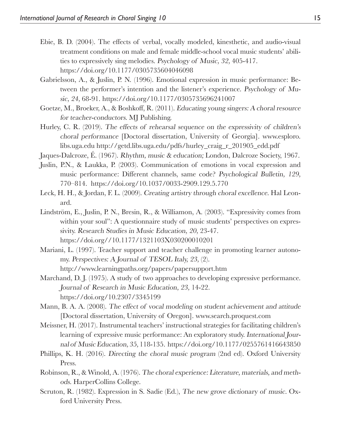- Ebie, B. D. (2004). The effects of verbal, vocally modeled, kinesthetic, and audio-visual treatment conditions on male and female middle-school vocal music students' abilities to expressively sing melodies. Psychology of Music, 32, 405-417. https://doi.org/10.1177/0305735604046098
- Gabrielsson, A., & Juslin, P. N. (1996). Emotional expression in music performance: Between the performer's intention and the listener's experience. Psychology of Music, 24, 68-91. https://doi.org/10.1177/0305735696241007
- Goetze, M., Broeker, A., & Boshkoff, R. (2011). Educating young singers: A choral resource for teacher-conductors. MJ Publishing.
- Hurley, C. R. (2019). The effects of rehearsal sequence on the expressivity of children's choral performance [Doctoral dissertation, University of Georgia]. www.esploro. libs.uga.edu http://getd.libs.uga.edu/pdfs/hurley\_craig\_r\_201905\_edd.pdf
- Jaques-Dalcroze, É. (1967). Rhythm, music & education; London, Dalcroze Society, 1967.
- Juslin, P.N., & Laukka, P. (2003). Communication of emotions in vocal expression and music performance: Different channels, same code? Psychological Bulletin, 129, 770–814. https://doi.org/10.1037/0033-2909.129.5.770
- Leck, H. H., & Jordan, F. L. (2009). Creating artistry through choral excellence. Hal Leonard.
- Lindström, E., Juslin, P. N., Bresin, R., & Williamon, A. (2003). "Expressivity comes from within your soul": A questionnaire study of music students' perspectives on expressivity. Research Studies in Music Education, 20, 23-47. https://doi.org//10.1177/1321103X030200010201
- Mariani, L. (1997). Teacher support and teacher challenge in promoting learner autonomy. Perspectives: A Journal of TESOL Italy, 23, (2). http://www.learningpaths.org/papers/papersupport.htm
- Marchand, D. J. (1975). A study of two approaches to developing expressive performance. Journal of Research in Music Education, 23, 14-22. https://doi.org/10.2307/3345199
- Mann, B. A. A. (2008). The effect of vocal modeling on student achievement and attitude [Doctoral dissertation, University of Oregon]. www.search.proquest.com
- Meissner, H. (2017). Instrumental teachers' instructional strategies for facilitating children's learning of expressive music performance: An exploratory study. International Journal of Music Education, 35, 118-135. https://doi.org/10.1177/0255761416643850
- Phillips, K. H. (2016). Directing the choral music program (2nd ed). Oxford University Press.
- Robinson, R., & Winold, A. (1976). The choral experience: Literature, materials, and methods. HarperCollins College.
- Scruton, R. (1982). Expression in S. Sadie (Ed.), The new grove dictionary of music. Oxford University Press.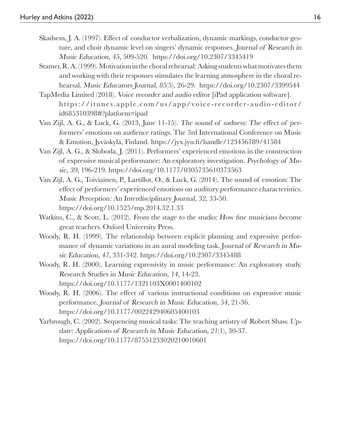- Skadsem, J. A. (1997). Effect of conductor verbalization, dynamic markings, conductor gesture, and choir dynamic level on singers' dynamic responses. Journal of Research in Music Education, 45, 509-520. https://doi.org/10.2307/3345419
- Stamer, R. A. (1999). Motivation in the choral rehearsal: Asking students what motivates them and working with their responses stimulates the learning atmosphere in the choral rehearsal. Music Educators Journal, 85(5), 26-29. https://doi.org/10.2307/3399544
- TapMedia Limited (2018). Voice recorder and audio editor [iPad application software]. https://itunes.apple.com/us/app/voice-recorder-audio-editor/ id685310398#?platform=ipad
- Van Zijl, A. G., & Luck, G. (2013, June 11-15). The sound of sadness: The effect of performers' emotions on audience ratings. The 3rd International Conference on Music & Emotion, Jyväskylä, Finland. https://jyx.jyu.fi /handle/123456789/41584
- Van Zijl, A. G., & Sloboda, J. (2011). Performers' experienced emotions in the construction of expressive musical performance: An exploratory investigation. Psychology of Music, 39, 196-219. https://doi.org/10.1177/0305735610373563
- Van Zijl, A. G., Toiviainen, P., Lartillot, O., & Luck, G. (2014). The sound of emotion: The effect of performers' experienced emotions on auditory performance characteristics. Music Perception: An Interdisciplinary Journal, 32, 33-50. https://doi.org/10.1525/mp.2014.32.1.33
- Watkins, C., & Scott, L.  $(2012)$ . From the stage to the studio: How fine musicians become great teachers. Oxford University Press.
- Woody, R. H. (1999). The relationship between explicit planning and expressive performance of dynamic variations in an aural modeling task. Journal of Research in Music Education, 47, 331-342. https://doi.org/10.2307/3345488
- Woody, R. H. (2000). Learning expressivity in music performance: An exploratory study. Research Studies in Music Education, 14, 14-23. https://doi.org/10.1177/1321103X0001400102
- Woody, R. H. (2006). The effect of various instructional conditions on expressive music performance. Journal of Research in Music Education, 54, 21-36. https://doi.org/10.1177/002242940605400103
- Yarbrough, C. (2002). Sequencing musical tasks: The teaching artistry of Robert Shaw. Update: Applications of Research in Music Education, 21(1), 30-37. https://doi.org/10.1177/87551233020210010601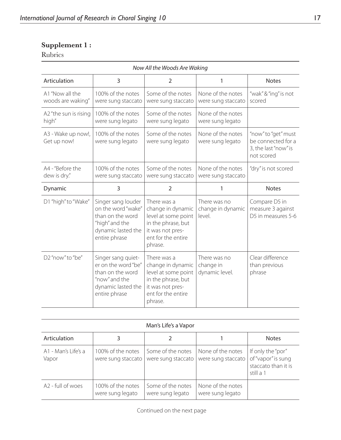## **Supplement 1 :**

### Rubrics

| Now All the Woods Are Waking         |                                                                                                                       |                                                                                                                                    |                                             |                                                                                 |  |  |  |
|--------------------------------------|-----------------------------------------------------------------------------------------------------------------------|------------------------------------------------------------------------------------------------------------------------------------|---------------------------------------------|---------------------------------------------------------------------------------|--|--|--|
| Articulation                         | 3                                                                                                                     | $\overline{2}$                                                                                                                     | 1                                           | <b>Notes</b>                                                                    |  |  |  |
| A1 "Now all the<br>woods are waking" | 100% of the notes<br>were sung staccato                                                                               | Some of the notes<br>were sung staccato                                                                                            | None of the notes<br>were sung staccato     | "wak"&"ing" is not<br>scored                                                    |  |  |  |
| A2 "the sun is rising<br>high"       | 100% of the notes<br>were sung legato                                                                                 | Some of the notes<br>were sung legato                                                                                              | None of the notes<br>were sung legato       |                                                                                 |  |  |  |
| A3 - Wake up now!,<br>Get up now!    | 100% of the notes<br>were sung legato                                                                                 | Some of the notes<br>were sung legato                                                                                              | None of the notes<br>were sung legato       | "now" to "get" must<br>be connected for a<br>3, the last "now" is<br>not scored |  |  |  |
| A4 - "Before the<br>dew is dry."     | 100% of the notes<br>were sung staccato                                                                               | Some of the notes<br>were sung staccato                                                                                            | None of the notes<br>were sung staccato     | "dry" is not scored                                                             |  |  |  |
| Dynamic                              | 3                                                                                                                     | $\overline{2}$                                                                                                                     | 1                                           | <b>Notes</b>                                                                    |  |  |  |
| D1 "high" to "Wake"                  | Singer sang louder<br>on the word "wake"<br>than on the word<br>"high" and the<br>dynamic lasted the<br>entire phrase | There was a<br>change in dynamic<br>level at some point<br>in the phrase, but<br>it was not pres-<br>ent for the entire<br>phrase. | There was no<br>change in dynamic<br>level. | Compare D5 in<br>measure 3 against<br>D5 in measures 5-6                        |  |  |  |
| D2"now" to "be"                      | Singer sang quiet-<br>er on the word "be"<br>than on the word<br>"now" and the<br>dynamic lasted the<br>entire phrase | There was a<br>change in dynamic<br>level at some point<br>in the phrase, but<br>it was not pres-<br>ent for the entire<br>phrase. | There was no<br>change in<br>dynamic level. | Clear difference<br>than previous<br>phrase                                     |  |  |  |

| Man's Life's a Vapor |               |            |  |  |  |  |
|----------------------|---------------|------------|--|--|--|--|
|                      |               |            |  |  |  |  |
|                      | $\sim$ $\sim$ | . .<br>. . |  |  |  |  |

| Articulation                 |                                         |                                         |                                         | <b>Notes</b>                                                                |
|------------------------------|-----------------------------------------|-----------------------------------------|-----------------------------------------|-----------------------------------------------------------------------------|
| A1 - Man's Life's a<br>Vapor | 100% of the notes<br>were sung staccato | Some of the notes<br>were sung staccato | None of the notes<br>were sung staccato | If only the "por"<br>of "vapor" is sung<br>staccato than it is<br>still a 1 |
| A2 - full of woes            | 100% of the notes<br>were sung legato   | Some of the notes<br>were sung legato   | None of the notes<br>were sung legato   |                                                                             |